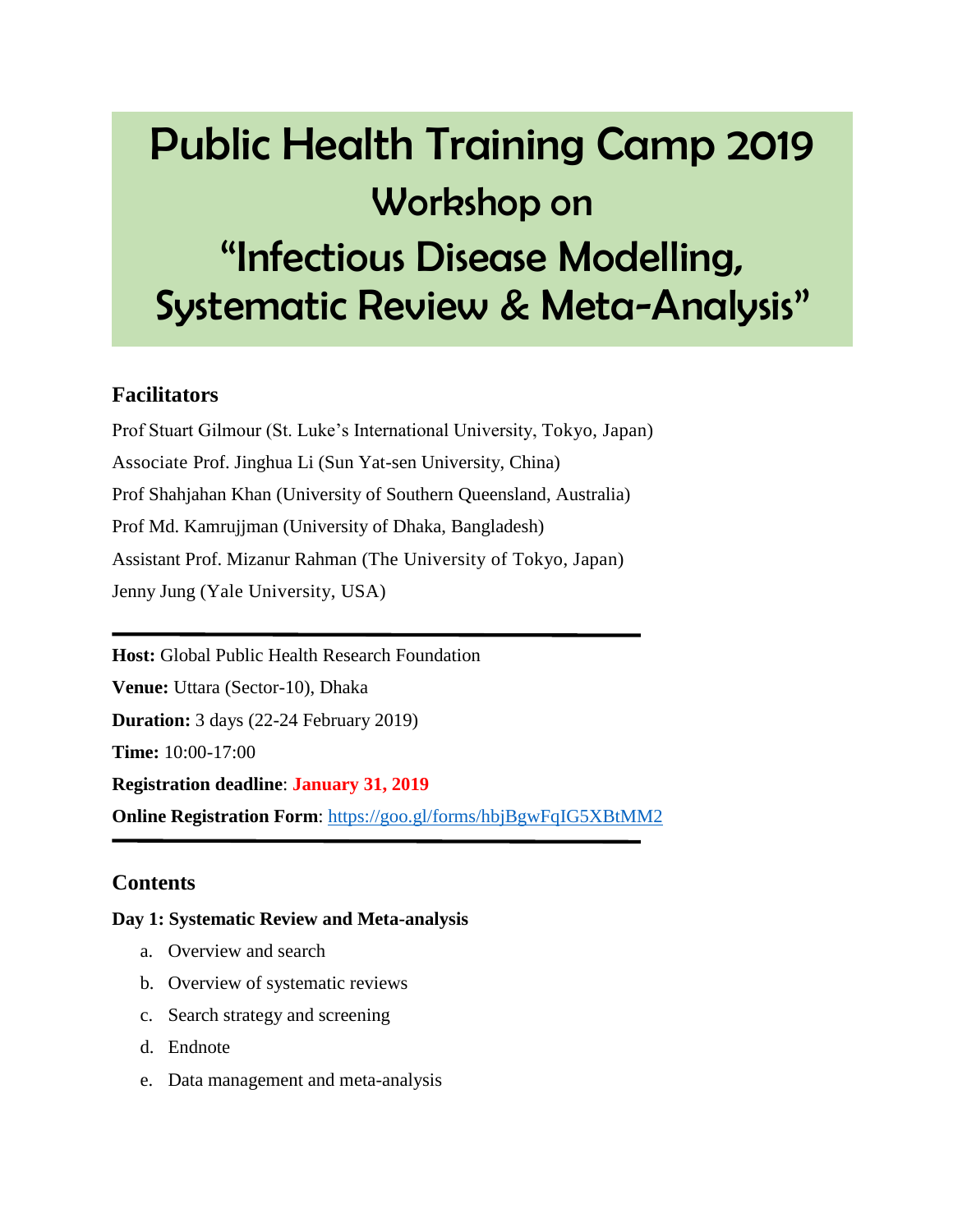# Public Health Training Camp 2019 Workshop on "Infectious Disease Modelling, Systematic Review & Meta-Analysis"

### **Facilitators**

Prof Stuart Gilmour (St. Luke's International University, Tokyo, Japan) Associate Prof. Jinghua Li (Sun Yat-sen University, China) Prof Shahjahan Khan (University of Southern Queensland, Australia) Prof Md. Kamrujjman (University of Dhaka, Bangladesh) Assistant Prof. Mizanur Rahman (The University of Tokyo, Japan) Jenny Jung (Yale University, USA)

**Host:** Global Public Health Research Foundation **Venue:** Uttara (Sector-10), Dhaka **Duration:** 3 days (22-24 February 2019) **Time:** 10:00-17:00 **Registration deadline**: **January 31, 2019 Online Registration Form**: <https://goo.gl/forms/hbjBgwFqIG5XBtMM2>

## **Contents**

#### **Day 1: Systematic Review and Meta-analysis**

- a. Overview and search
- b. Overview of systematic reviews
- c. Search strategy and screening
- d. Endnote
- e. Data management and meta-analysis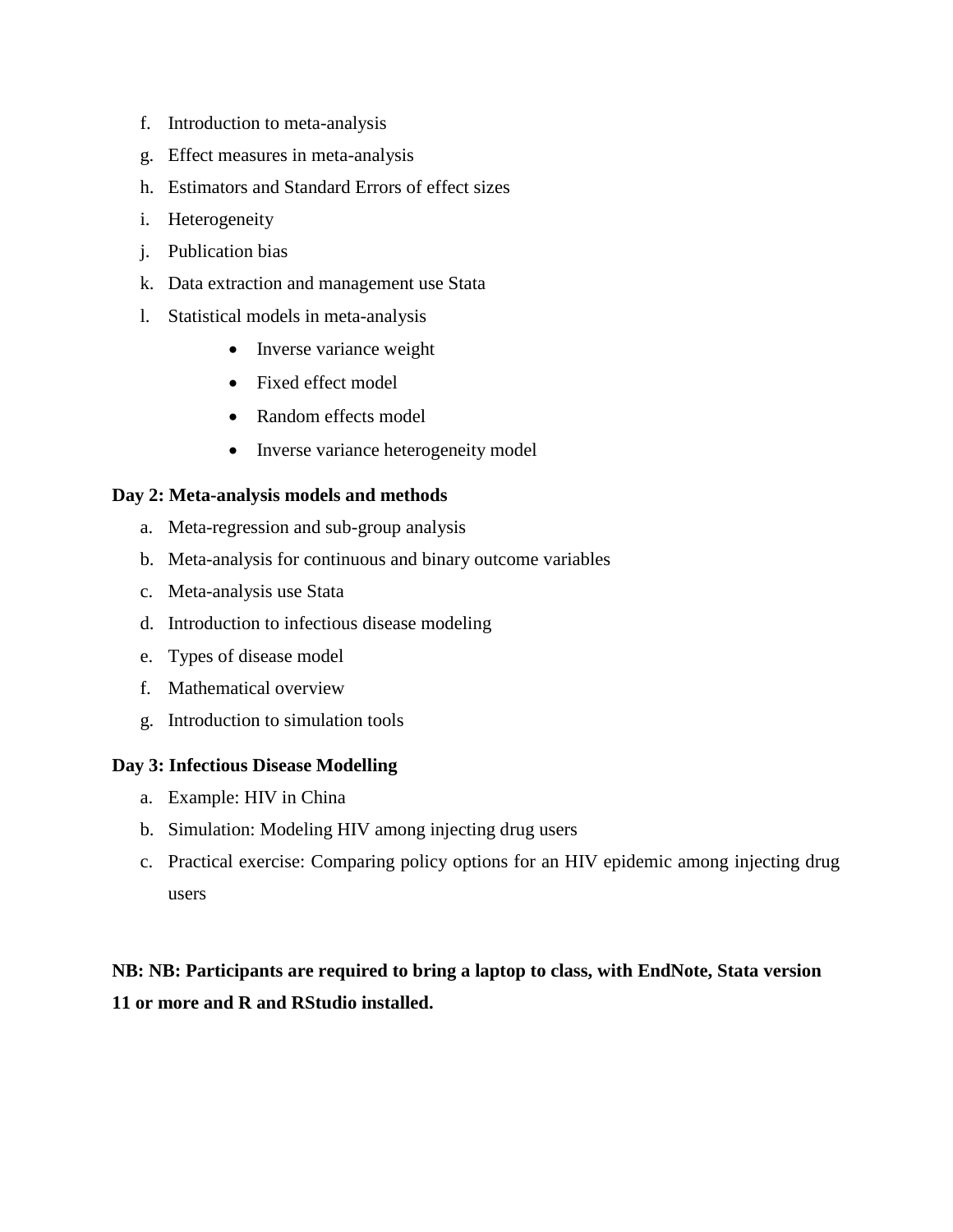- f. Introduction to meta-analysis
- g. Effect measures in meta-analysis
- h. Estimators and Standard Errors of effect sizes
- i. Heterogeneity
- j. Publication bias
- k. Data extraction and management use Stata
- l. Statistical models in meta-analysis
	- Inverse variance weight
	- Fixed effect model
	- Random effects model
	- Inverse variance heterogeneity model

#### **Day 2: Meta-analysis models and methods**

- a. Meta-regression and sub-group analysis
- b. Meta-analysis for continuous and binary outcome variables
- c. Meta-analysis use Stata
- d. Introduction to infectious disease modeling
- e. Types of disease model
- f. Mathematical overview
- g. Introduction to simulation tools

#### **Day 3: Infectious Disease Modelling**

- a. Example: HIV in China
- b. Simulation: Modeling HIV among injecting drug users
- c. Practical exercise: Comparing policy options for an HIV epidemic among injecting drug users

## **NB: NB: Participants are required to bring a laptop to class, with EndNote, Stata version 11 or more and R and RStudio installed.**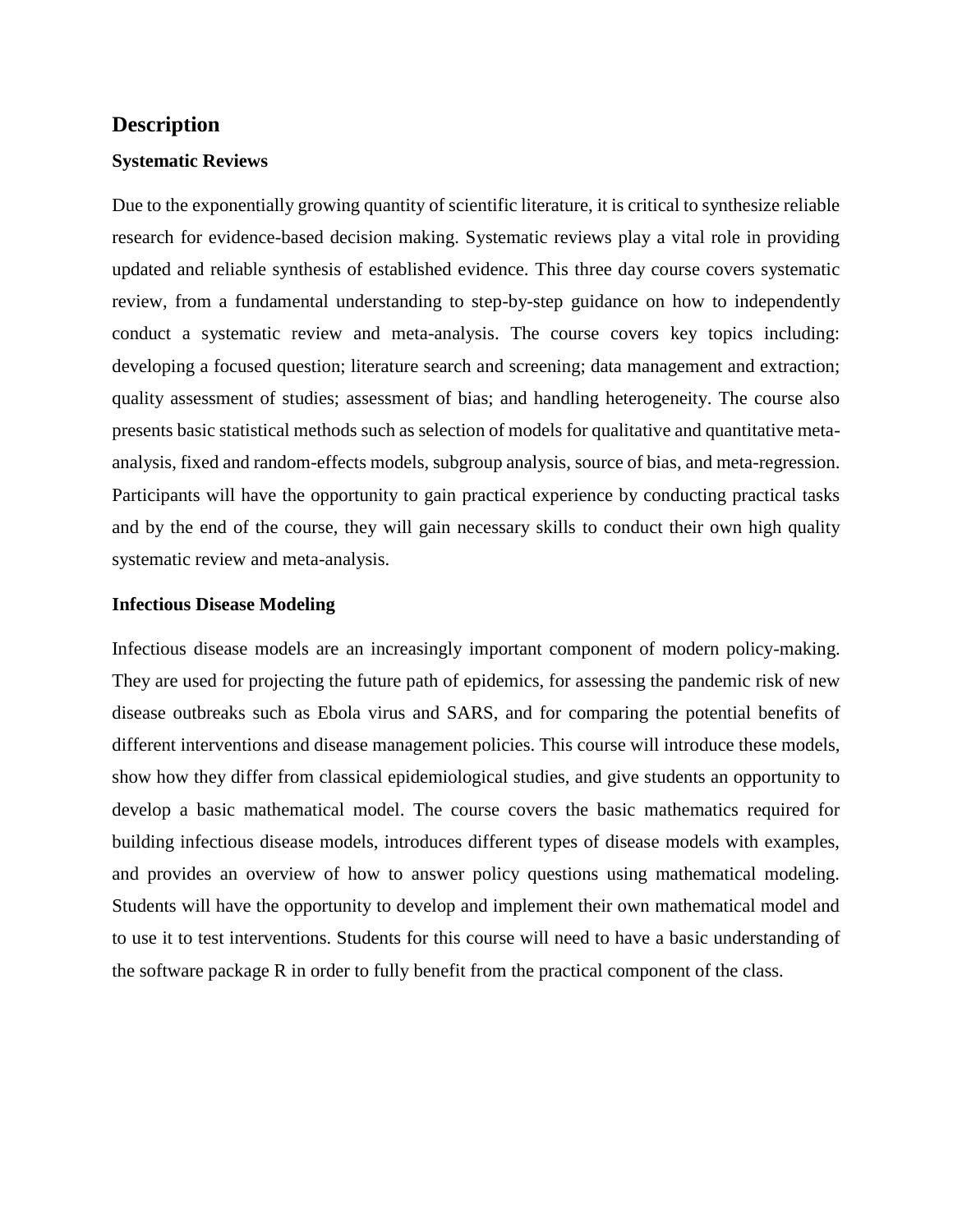#### **Description**

#### **Systematic Reviews**

Due to the exponentially growing quantity of scientific literature, it is critical to synthesize reliable research for evidence-based decision making. Systematic reviews play a vital role in providing updated and reliable synthesis of established evidence. This three day course covers systematic review, from a fundamental understanding to step-by-step guidance on how to independently conduct a systematic review and meta-analysis. The course covers key topics including: developing a focused question; literature search and screening; data management and extraction; quality assessment of studies; assessment of bias; and handling heterogeneity. The course also presents basic statistical methods such as selection of models for qualitative and quantitative metaanalysis, fixed and random-effects models, subgroup analysis, source of bias, and meta-regression. Participants will have the opportunity to gain practical experience by conducting practical tasks and by the end of the course, they will gain necessary skills to conduct their own high quality systematic review and meta-analysis.

#### **Infectious Disease Modeling**

Infectious disease models are an increasingly important component of modern policy-making. They are used for projecting the future path of epidemics, for assessing the pandemic risk of new disease outbreaks such as Ebola virus and SARS, and for comparing the potential benefits of different interventions and disease management policies. This course will introduce these models, show how they differ from classical epidemiological studies, and give students an opportunity to develop a basic mathematical model. The course covers the basic mathematics required for building infectious disease models, introduces different types of disease models with examples, and provides an overview of how to answer policy questions using mathematical modeling. Students will have the opportunity to develop and implement their own mathematical model and to use it to test interventions. Students for this course will need to have a basic understanding of the software package R in order to fully benefit from the practical component of the class.